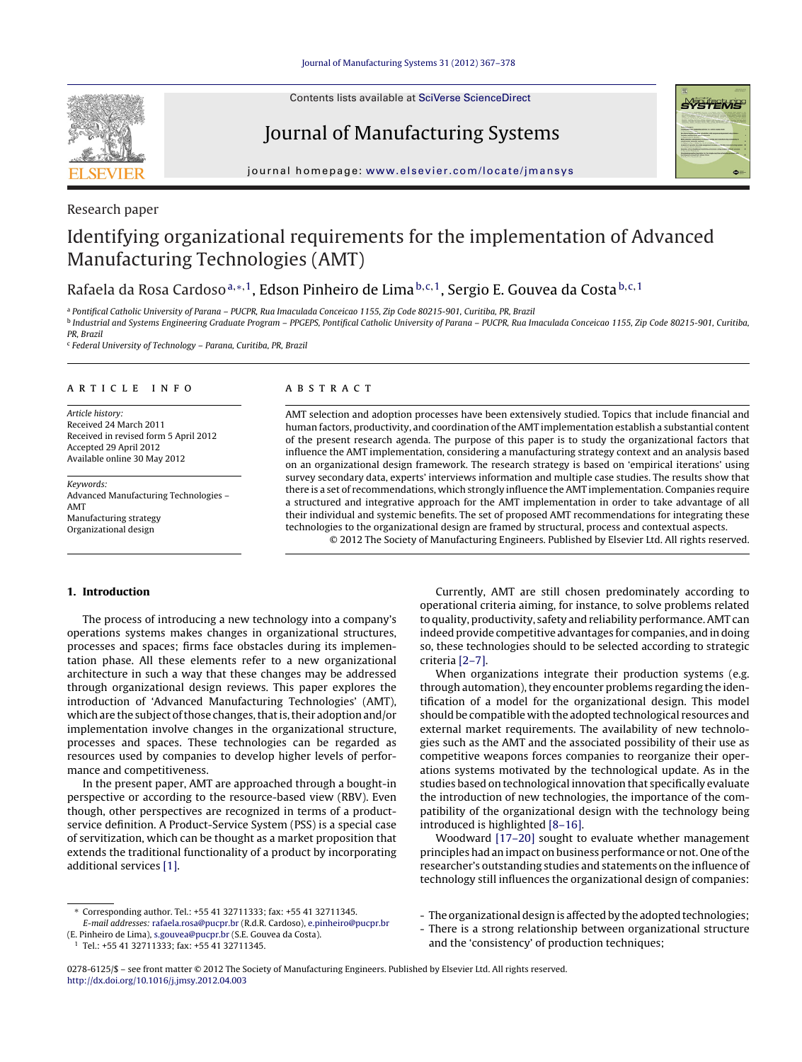Contents lists available at SciVerse [ScienceDirect](http://www.sciencedirect.com/science/journal/02786125)



Journal of Manufacturing Systems



iournal homepage: www.elsevier.com/locate/imansys

#### Research paper

## Identifying organizational requirements for the implementation of Advanced Manufacturing Technologies (AMT)

### Rafaela da Rosa Cardoso<sup>a,∗, 1</sup>, Edson Pinheiro de Lima b,c, 1, Sergio E. Gouvea da Costa <sup>b,c, 1</sup>

<sup>a</sup> Pontifical Catholic University of Parana – PUCPR, Rua Imaculada Conceicao 1155, Zip Code 80215-901, Curitiba, PR, Brazil <sup>b</sup> Industrial and Systems Engineering Graduate Program – PPGEPS, Pontifical Catholic University of Parana – PUCPR, Rua Imaculada Conceicao 1155, Zip Code 80215-901, Curitiba,

PR, Brazil

<sup>c</sup> Federal University of Technology – Parana, Curitiba, PR, Brazil

#### a r t i c l e i n f o

Article history: Received 24 March 2011 Received in revised form 5 April 2012 Accepted 29 April 2012 Available online 30 May 2012

Keywords: Advanced Manufacturing Technologies – AMT Manufacturing strategy Organizational design

#### A B S T R A C T

AMT selection and adoption processes have been extensively studied. Topics that include financial and human factors, productivity, and coordination ofthe AMT implementation establish a substantial content of the present research agenda. The purpose of this paper is to study the organizational factors that influence the AMT implementation, considering a manufacturing strategy context and an analysis based on an organizational design framework. The research strategy is based on 'empirical iterations' using survey secondary data, experts' interviews information and multiple case studies. The results show that there is a set of recommendations, which strongly influence the AMT implementation. Companies require a structured and integrative approach for the AMT implementation in order to take advantage of all their individual and systemic benefits. The set of proposed AMT recommendations for integrating these technologies to the organizational design are framed by structural, process and contextual aspects. © 2012 The Society of Manufacturing Engineers. Published by Elsevier Ltd. All rights reserved.

#### **1. Introduction**

The process of introducing a new technology into a company's operations systems makes changes in organizational structures, processes and spaces; firms face obstacles during its implementation phase. All these elements refer to a new organizational architecture in such a way that these changes may be addressed through organizational design reviews. This paper explores the introduction of 'Advanced Manufacturing Technologies' (AMT), which are the subject of those changes, that is, their adoption and/or implementation involve changes in the organizational structure, processes and spaces. These technologies can be regarded as resources used by companies to develop higher levels of performance and competitiveness.

In the present paper, AMT are approached through a bought-in perspective or according to the resource-based view (RBV). Even though, other perspectives are recognized in terms of a productservice definition. A Product-Service System (PSS) is a special case of servitization, which can be thought as a market proposition that extends the traditional functionality of a product by incorporating additional services [\[1\].](#page--1-0)

Currently, AMT are still chosen predominately according to operational criteria aiming, for instance, to solve problems related to quality, productivity, safety and reliability performance.AMT can indeed provide competitive advantages for companies, and in doing so, these technologies should to be selected according to strategic criteria [\[2–7\].](#page--1-0)

When organizations integrate their production systems (e.g. through automation), they encounter problems regarding the identification of a model for the organizational design. This model should be compatible with the adopted technological resources and external market requirements. The availability of new technologies such as the AMT and the associated possibility of their use as competitive weapons forces companies to reorganize their operations systems motivated by the technological update. As in the studies based on technological innovation that specifically evaluate the introduction of new technologies, the importance of the compatibility of the organizational design with the technology being introduced is highlighted [\[8–16\].](#page--1-0)

Woodward [\[17–20\]](#page--1-0) sought to evaluate whether management principles had an impact on business performance or not. One ofthe researcher's outstanding studies and statements on the influence of technology still influences the organizational design of companies:

- The organizational design is affected by the adopted technologies;

- There is a strong relationship between organizational structure and the 'consistency' of production techniques;

0278-6125/\$ – see front matter © 2012 The Society of Manufacturing Engineers. Published by Elsevier Ltd. All rights reserved. [http://dx.doi.org/10.1016/j.jmsy.2012.04.003](dx.doi.org/10.1016/j.jmsy.2012.04.003)

<sup>∗</sup> Corresponding author. Tel.: +55 41 32711333; fax: +55 41 32711345. E-mail addresses: [rafaela.rosa@pucpr.br](mailto:rafaela.rosa@pucpr.br) (R.d.R. Cardoso), [e.pinheiro@pucpr.br](mailto:e.pinheiro@pucpr.br)

<sup>(</sup>E. Pinheiro de Lima), [s.gouvea@pucpr.br](mailto:s.gouvea@pucpr.br) (S.E. Gouvea da Costa).

<sup>1</sup> Tel.: +55 41 32711333; fax: +55 41 32711345.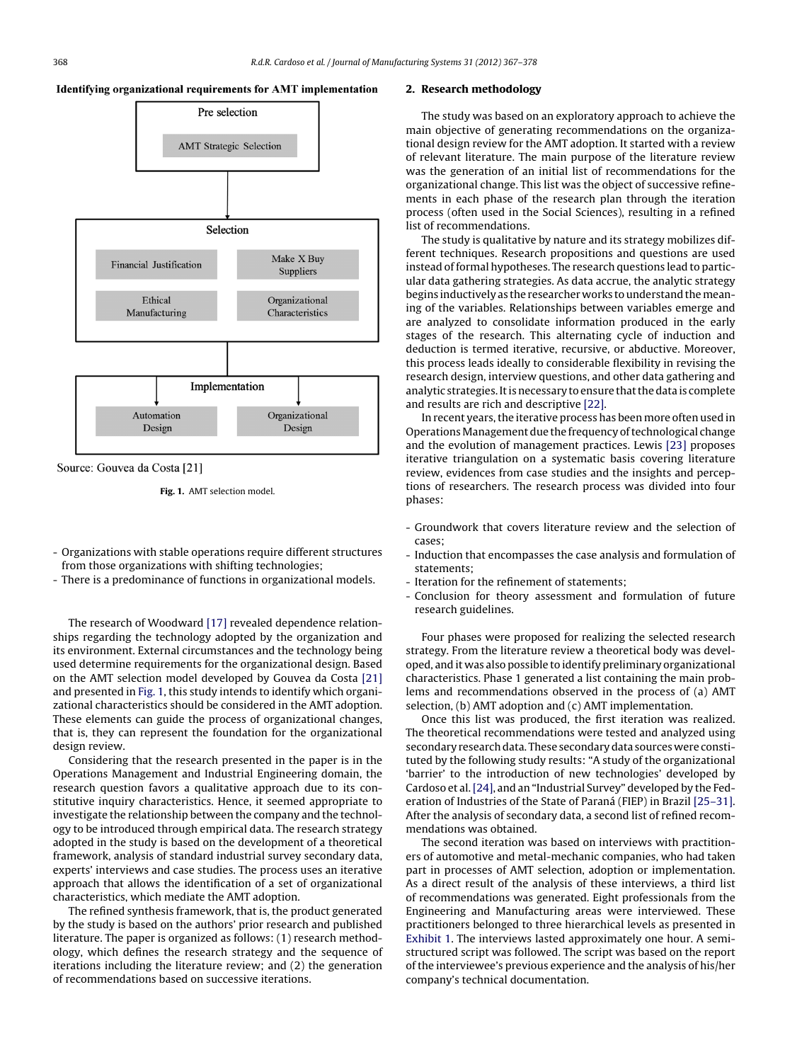



Source: Gouvea da Costa [21]

**Fig. 1.** AMT selection model.

- Organizations with stable operations require different structures from those organizations with shifting technologies;
- There is a predominance of functions in organizational models.

The research of Woodward [\[17\]](#page--1-0) revealed dependence relationships regarding the technology adopted by the organization and its environment. External circumstances and the technology being used determine requirements for the organizational design. Based on the AMT selection model developed by Gouvea da Costa [\[21\]](#page--1-0) and presented in Fig. 1, this study intends to identify which organizational characteristics should be considered in the AMT adoption. These elements can guide the process of organizational changes, that is, they can represent the foundation for the organizational design review.

Considering that the research presented in the paper is in the Operations Management and Industrial Engineering domain, the research question favors a qualitative approach due to its constitutive inquiry characteristics. Hence, it seemed appropriate to investigate the relationship between the company and the technology to be introduced through empirical data. The research strategy adopted in the study is based on the development of a theoretical framework, analysis of standard industrial survey secondary data, experts' interviews and case studies. The process uses an iterative approach that allows the identification of a set of organizational characteristics, which mediate the AMT adoption.

The refined synthesis framework, that is, the product generated by the study is based on the authors' prior research and published literature. The paper is organized as follows: (1) research methodology, which defines the research strategy and the sequence of iterations including the literature review; and (2) the generation of recommendations based on successive iterations.

#### **2. Research methodology**

The study was based on an exploratory approach to achieve the main objective of generating recommendations on the organizational design review for the AMT adoption. It started with a review of relevant literature. The main purpose of the literature review was the generation of an initial list of recommendations for the organizational change. This list was the object of successive refinements in each phase of the research plan through the iteration process (often used in the Social Sciences), resulting in a refined list of recommendations.

The study is qualitative by nature and its strategy mobilizes different techniques. Research propositions and questions are used instead of formal hypotheses. The research questions lead to particular data gathering strategies. As data accrue, the analytic strategy begins inductively as the researcher works to understand the meaning of the variables. Relationships between variables emerge and are analyzed to consolidate information produced in the early stages of the research. This alternating cycle of induction and deduction is termed iterative, recursive, or abductive. Moreover, this process leads ideally to considerable flexibility in revising the research design, interview questions, and other data gathering and analytic strategies. It is necessary to ensure that the data is complete and results are rich and descriptive [\[22\].](#page--1-0)

In recent years, the iterative process has been more often used in Operations Management due the frequency of technological change and the evolution of management practices. Lewis [\[23\]](#page--1-0) proposes iterative triangulation on a systematic basis covering literature review, evidences from case studies and the insights and perceptions of researchers. The research process was divided into four phases:

- Groundwork that covers literature review and the selection of cases;
- Induction that encompasses the case analysis and formulation of statements;
- Iteration for the refinement of statements;
- Conclusion for theory assessment and formulation of future research guidelines.

Four phases were proposed for realizing the selected research strategy. From the literature review a theoretical body was developed, and it was also possible to identify preliminary organizational characteristics. Phase 1 generated a list containing the main problems and recommendations observed in the process of (a) AMT selection, (b) AMT adoption and (c) AMT implementation.

Once this list was produced, the first iteration was realized. The theoretical recommendations were tested and analyzed using secondary research data. These secondary data sources were constituted by the following study results: "A study of the organizational 'barrier' to the introduction of new technologies' developed by Cardoso et al.[\[24\],](#page--1-0) and an "Industrial Survey" developed by the Federation of Industries of the State of Paraná (FIEP) in Brazil [\[25–31\].](#page--1-0) After the analysis of secondary data, a second list of refined recommendations was obtained.

The second iteration was based on interviews with practitioners of automotive and metal-mechanic companies, who had taken part in processes of AMT selection, adoption or implementation. As a direct result of the analysis of these interviews, a third list of recommendations was generated. Eight professionals from the Engineering and Manufacturing areas were interviewed. These practitioners belonged to three hierarchical levels as presented in [Exhibit](#page--1-0) [1.](#page--1-0) The interviews lasted approximately one hour. A semistructured script was followed. The script was based on the report ofthe interviewee's previous experience and the analysis of his/her company's technical documentation.